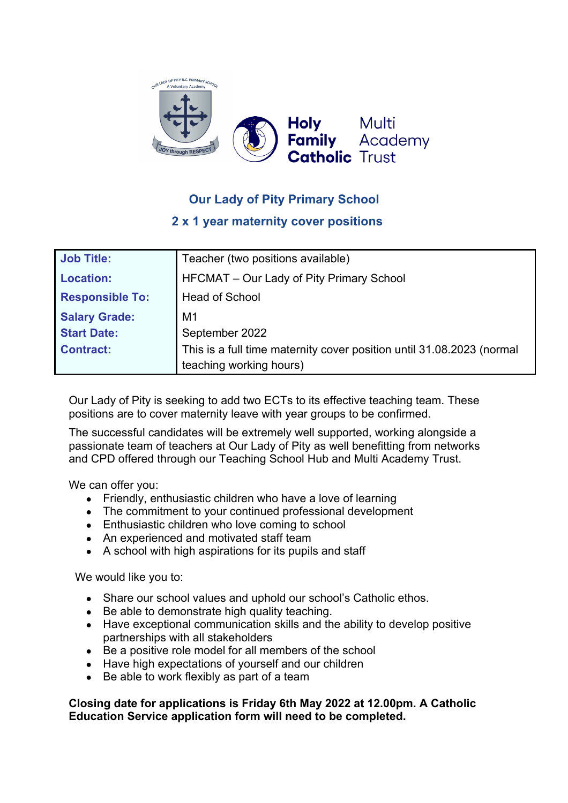

## **Our Lady of Pity Primary School**

## **2 x 1 year maternity cover positions**

| <b>Job Title:</b>      | Teacher (two positions available)                                                                |
|------------------------|--------------------------------------------------------------------------------------------------|
| <b>Location:</b>       | HFCMAT – Our Lady of Pity Primary School                                                         |
| <b>Responsible To:</b> | <b>Head of School</b>                                                                            |
| <b>Salary Grade:</b>   | M1                                                                                               |
| <b>Start Date:</b>     | September 2022                                                                                   |
| <b>Contract:</b>       | This is a full time maternity cover position until 31.08.2023 (normal<br>teaching working hours) |

Our Lady of Pity is seeking to add two ECTs to its effective teaching team. These positions are to cover maternity leave with year groups to be confirmed.

The successful candidates will be extremely well supported, working alongside a passionate team of teachers at Our Lady of Pity as well benefitting from networks and CPD offered through our Teaching School Hub and Multi Academy Trust.

We can offer you:

- Friendly, enthusiastic children who have a love of learning
- The commitment to your continued professional development
- Enthusiastic children who love coming to school
- An experienced and motivated staff team
- A school with high aspirations for its pupils and staff

We would like you to:

- Share our school values and uphold our school's Catholic ethos.
- Be able to demonstrate high quality teaching.
- Have exceptional communication skills and the ability to develop positive partnerships with all stakeholders
- Be a positive role model for all members of the school
- Have high expectations of yourself and our children
- Be able to work flexibly as part of a team

**Closing date for applications is Friday 6th May 2022 at 12.00pm. A Catholic Education Service application form will need to be completed.**